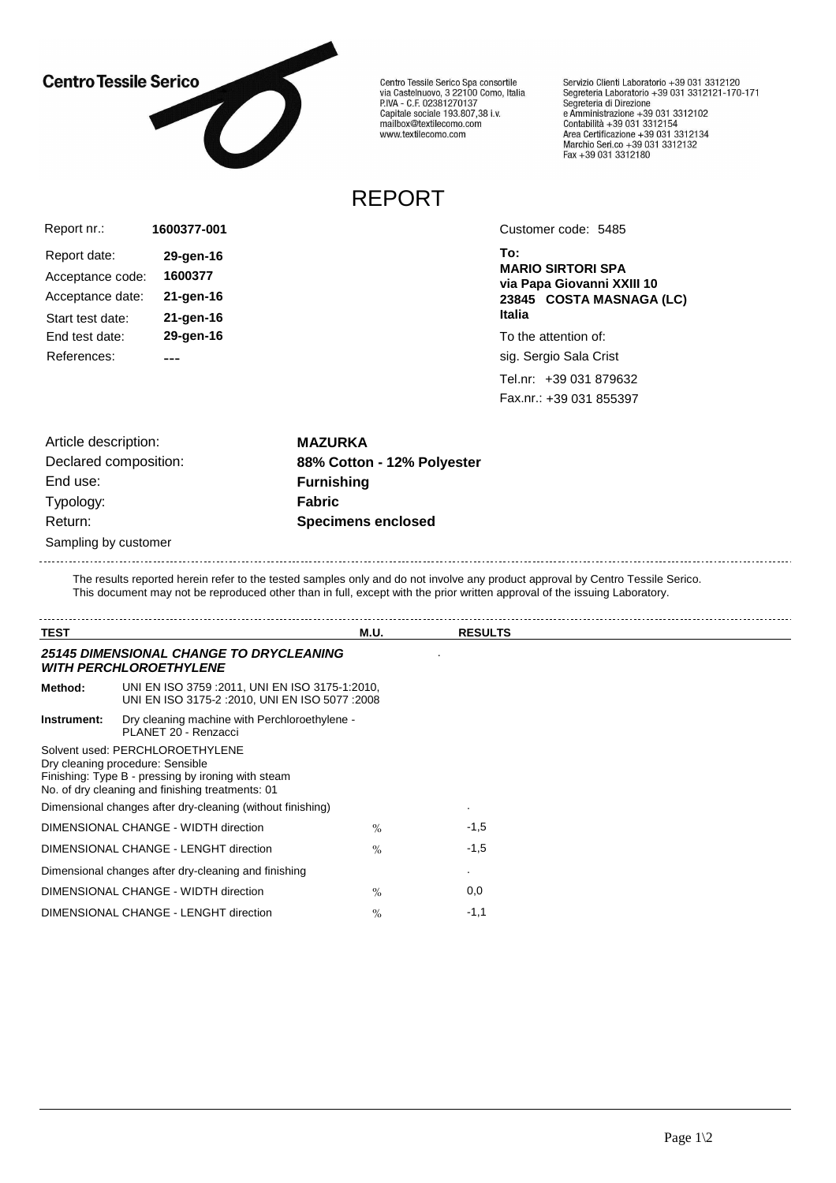## **Centro Tessile Serico**



Centro Tessile Serico Spa consortile<br>via Castelnuovo, 3 22100 Como, Italia<br>P.IVA - C.F. 02381270137 Capitale sociale 193.807,38 i.v.<br>Capitale sociale 193.807,38 i.v.<br>mailbox@textilecomo.com www.textilecomo.com

Servizio Clienti Laboratorio +39 031 3312120<br>Segreteria Laboratorio +39 031 3312121-170-171 Segreteria di Direzione Segreteria di Direzione<br>
e Amministrazione +39 031 3312102<br>
Contabilità +39 031 3312154<br>
Area Certificazione +39 031 3312134<br>
Marchio Seri.co +39 031 3312132<br>
Fax +39 031 3312180

## REPORT

| Report nr.:      | 1600377-001  |
|------------------|--------------|
| Report date:     | 29-gen-16    |
| Acceptance code: | 1600377      |
| Acceptance date: | $21$ -gen-16 |
| Start test date: | 21-gen-16    |
| End test date:   | 29-gen-16    |
| References:      |              |

Customer code: 5485

**To: MARIO SIRTORI SPA via Papa Giovanni XXIII 10 23845 COSTA MASNAGA (LC) Italia**

To the attention of:

sig. Sergio Sala Crist

Tel.nr: +39 031 879632 Fax.nr.: +39 031 855397

Article description: **MAZURKA** End use: **Furnishing** Typology: **Fabric** Sampling by customer 

Declared composition: **88% Cotton - 12% Polyester** Return: **Specimens enclosed**

The results reported herein refer to the tested samples only and do not involve any product approval by Centro Tessile Serico. This document may not be reproduced other than in full, except with the prior written approval of the issuing Laboratory.

| <b>TEST</b>                                   |                                                                                                                                                                               | <b>M.U.</b> | <b>RESULTS</b> |  |
|-----------------------------------------------|-------------------------------------------------------------------------------------------------------------------------------------------------------------------------------|-------------|----------------|--|
|                                               | <b>25145 DIMENSIONAL CHANGE TO DRYCLEANING</b><br><b>WITH PERCHLOROETHYLENE</b>                                                                                               |             |                |  |
| Method:                                       | UNI EN ISO 3759 : 2011, UNI EN ISO 3175-1:2010,<br>UNI EN ISO 3175-2 : 2010, UNI EN ISO 5077 : 2008                                                                           |             |                |  |
| Instrument:                                   | Dry cleaning machine with Perchloroethylene -<br>PLANET 20 - Renzacci                                                                                                         |             |                |  |
|                                               | Solvent used: PERCHLOROETHYLENE<br>Dry cleaning procedure: Sensible<br>Finishing: Type B - pressing by ironing with steam<br>No. of dry cleaning and finishing treatments: 01 |             |                |  |
|                                               | Dimensional changes after dry-cleaning (without finishing)                                                                                                                    |             |                |  |
|                                               | DIMENSIONAL CHANGE - WIDTH direction                                                                                                                                          | $\%$        | $-1,5$         |  |
|                                               | DIMENSIONAL CHANGE - LENGHT direction                                                                                                                                         | $\%$        | $-1,5$         |  |
|                                               | Dimensional changes after dry-cleaning and finishing                                                                                                                          |             |                |  |
|                                               | DIMENSIONAL CHANGE - WIDTH direction                                                                                                                                          | $\%$        | 0,0            |  |
| DIMENSIONAL CHANGE - LENGHT direction<br>$\%$ |                                                                                                                                                                               |             | $-1,1$         |  |